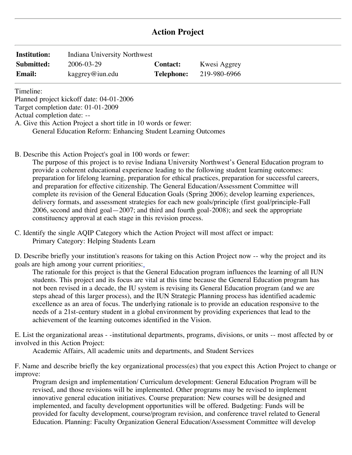# **Action Project**

| <b>Institution:</b> | Indiana University Northwest |                   |              |
|---------------------|------------------------------|-------------------|--------------|
| Submitted:          | 2006-03-29                   | <b>Contact:</b>   | Kwesi Aggrey |
| <b>Email:</b>       | $k$ aggrey@iun.edu           | <b>Telephone:</b> | 219-980-6966 |

Timeline:

Planned project kickoff date: 04-01-2006

Target completion date: 01-01-2009

Actual completion date: --

A. Give this Action Project a short title in 10 words or fewer:

General Education Reform: Enhancing Student Learning Outcomes

B. Describe this Action Project's goal in 100 words or fewer:

The purpose of this project is to revise Indiana University Northwest's General Education program to provide a coherent educational experience leading to the following student learning outcomes: preparation for lifelong learning, preparation for ethical practices, preparation for successful careers, and preparation for effective citizenship. The General Education/Assessment Committee will complete its revision of the General Education Goals (Spring 2006); develop learning experiences, delivery formats, and assessment strategies for each new goals/principle (first goal/principle-Fall 2006, second and third goal—2007; and third and fourth goal-2008); and seek the appropriate constituency approval at each stage in this revision process.

C. Identify the single AQIP Category which the Action Project will most affect or impact: Primary Category: Helping Students Learn

D. Describe briefly your institution's reasons for taking on this Action Project now -- why the project and its goals are high among your current priorities:

The rationale for this project is that the General Education program influences the learning of all IUN students. This project and its focus are vital at this time because the General Education program has not been revised in a decade, the IU system is revising its General Education program (and we are steps ahead of this larger process), and the IUN Strategic Planning process has identified academic excellence as an area of focus. The underlying rationale is to provide an education responsive to the needs of a 21st-century student in a global environment by providing experiences that lead to the achievement of the learning outcomes identified in the Vision.

E. List the organizational areas - -institutional departments, programs, divisions, or units -- most affected by or involved in this Action Project:

Academic Affairs, All academic units and departments, and Student Services

F. Name and describe briefly the key organizational process(es) that you expect this Action Project to change or improve:

 revised, and those revisions will be implemented. Other programs may be revised to implement implemented, and faculty development opportunities will be offered. Budgeting: Funds will be Education. Planning: Faculty Organization General Education/Assessment Committee will develop Program design and implementation/ Curriculum development: General Education Program will be innovative general education initiatives. Course preparation: New courses will be designed and provided for faculty development, course/program revision, and conference travel related to General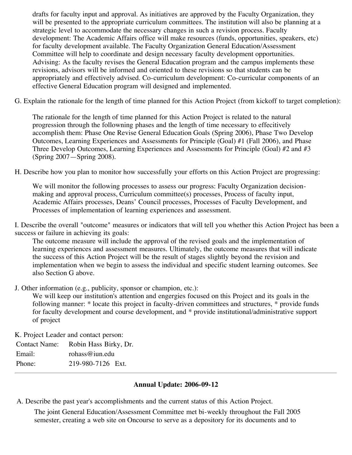drafts for faculty input and approval. As initiatives are approved by the Faculty Organization, they will be presented to the appropriate curriculum committees. The institution will also be planning at a strategic level to accommodate the necessary changes in such a revision process. Faculty development: The Academic Affairs office will make resources (funds, opportunities, speakers, etc) for faculty development available. The Faculty Organization General Education/Assessment Committee will help to coordinate and design necessary faculty development opportunities. Advising: As the faculty revises the General Education program and the campus implements these revisions, advisors will be informed and oriented to these revisions so that students can be appropriately and effectively advised. Co-curriculum development: Co-curricular components of an effective General Education program will designed and implemented.

G. Explain the rationale for the length of time planned for this Action Project (from kickoff to target completion):

 accomplish them: Phase One Revise General Education Goals (Spring 2006), Phase Two Develop The rationale for the length of time planned for this Action Project is related to the natural progression through the followning phases and the length of time necessary to effecitively Outcomes, Learning Experiences and Assessments for Principle (Goal) #1 (Fall 2006), and Phase Three Develop Outcomes, Learning Experiences and Assessments for Principle (Goal) #2 and #3 (Spring 2007—Spring 2008).

H. Describe how you plan to monitor how successfully your efforts on this Action Project are progressing:

We will monitor the following processes to assess our progress: Faculty Organization decisionmaking and approval process, Curriculum committee(s) processes, Process of faculty input, Academic Affairs processes, Deans' Council processes, Processes of Faculty Development, and Processes of implementation of learning experiences and assessment.

 success or failure in achieving its goals: I. Describe the overall "outcome" measures or indicators that will tell you whether this Action Project has been a

The outcome measure will include the approval of the revised goals and the implementation of learning experiences and assessment measures. Ultimately, the outcome measures that will indicate the success of this Action Project will be the result of stages slightly beyond the revision and implementation when we begin to assess the individual and specific student learning outcomes. See also Section G above.

J. Other information (e.g., publicity, sponsor or champion, etc.):

We will keep our institution's attention and engergies focused on this Project and its goals in the following manner: \* locate this project in faculty-driven committees and structures, \* provide funds for faculty development and course development, and \* provide institutional/administrative support of project

K. Project Leader and contact person:

| Contact Name: Robin Hass Birky, Dr. |                   |  |
|-------------------------------------|-------------------|--|
| Email:                              | rohass@iun.edu    |  |
| Phone:                              | 219-980-7126 Ext. |  |

## **Annual Update: 2006-09-12**

A. Describe the past year's accomplishments and the current status of this Action Project.

The joint General Education/Assessment Committee met bi-weekly throughout the Fall 2005 semester, creating a web site on Oncourse to serve as a depository for its documents and to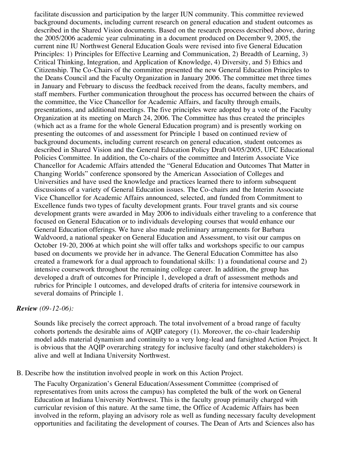facilitate discussion and participation by the larger IUN community. This committee reviewed background documents, including current research on general education and student outcomes as described in the Shared Vision documents. Based on the research process described above, during the 2005/2006 academic year culminating in a document produced on December 9, 2005, the current nine IU Northwest General Education Goals were revised into five General Education Principles: 1) Principles for Effective Learning and Communication, 2) Breadth of Learning, 3) Critical Thinking, Integration, and Application of Knowledge, 4) Diversity, and 5) Ethics and Citizenship. The Co-Chairs of the committee presented the new General Education Principles to the Deans Council and the Faculty Organization in January 2006. The committee met three times in January and February to discuss the feedback received from the deans, faculty members, and staff members. Further communication throughout the process has occurred between the chairs of the committee, the Vice Chancellor for Academic Affairs, and faculty through emails, presentations, and additional meetings. The five principles were adopted by a vote of the Faculty Organization at its meeting on March 24, 2006. The Committee has thus created the principles (which act as a frame for the whole General Education program) and is presently working on presenting the outcomes of and assessment for Principle 1 based on continued review of background documents, including current research on general education, student outcomes as described in Shared Vision and the General Education Policy Draft 04/05/2005, UFC Educational Policies Committee. In addition, the Co-chairs of the committee and Interim Associate Vice Chancellor for Academic Affairs attended the "General Education and Outcomes That Matter in Changing Worlds" conference sponsored by the American Association of Colleges and Universities and have used the knowledge and practices learned there to inform subsequent discussions of a variety of General Education issues. The Co-chairs and the Interim Associate Vice Chancellor for Academic Affairs announced, selected, and funded from Commitment to Excellence funds two types of faculty development grants. Four travel grants and six course development grants were awarded in May 2006 to individuals either traveling to a conference that focused on General Education or to individuals developing courses that would enhance our General Education offerings. We have also made preliminary arrangements for Barbara Waldvoord, a national speaker on General Education and Assessment, to visit our campus on October 19-20, 2006 at which point she will offer talks and workshops specific to our campus based on documents we provide her in advance. The General Education Committee has also created a framework for a dual approach to foundational skills: 1) a foundational course and 2) intensive coursework throughout the remaining college career. In addition, the group has developed a draft of outcomes for Principle 1, developed a draft of assessment methods and rubrics for Principle 1 outcomes, and developed drafts of criteria for intensive coursework in several domains of Principle 1.

#### *Review (09-12-06):*

Sounds like precisely the correct approach. The total involvement of a broad range of faculty cohorts portends the desirable aims of AQIP category (1). Moreover, the co-chair leadership model adds material dynamism and continuity to a very long-lead and farsighted Action Project. It is obvious that the AQIP overarching strategy for inclusive faculty (and other stakeholders) is alive and well at Indiana University Northwest.

B. Describe how the institution involved people in work on this Action Project.

The Faculty Organization's General Education/Assessment Committee (comprised of representatives from units across the campus) has completed the bulk of the work on General Education at Indiana University Northwest. This is the faculty group primarily charged with curricular revision of this nature. At the same time, the Office of Academic Affairs has been involved in the reform, playing an advisory role as well as funding necessary faculty development opportunities and facilitating the development of courses. The Dean of Arts and Sciences also has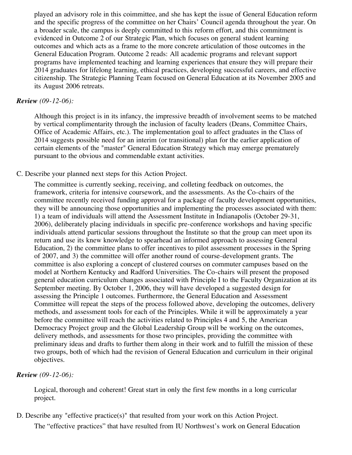played an advisory role in this coimmittee, and she has kept the issue of General Education reform and the specific progress of the committee on her Chairs' Council agenda throughout the year. On a broader scale, the campus is deeply committed to this reform effort, and this commitment is evidenced in Outcome 2 of our Strategic Plan, which focuses on general student learning outcomes and which acts as a frame to the more concrete articulation of those outcomes in the General Education Program. Outcome 2 reads: All academic programs and relevant support programs have implemented teaching and learning experiences that ensure they will prepare their 2014 graduates for lifelong learning, ethical practices, developing successful careers, and effective citizenship. The Strategic Planning Team focused on General Education at its November 2005 and its August 2006 retreats.

#### *Review (09-12-06):*

Although this project is in its infancy, the impressive breadth of involvement seems to be matched by vertical complimentarity through the inclusion of faculty leaders (Deans, Committee Chairs, Office of Academic Affairs, etc.). The implementation goal to affect graduates in the Class of 2014 suggests possible need for an interim (or transitional) plan for the earlier application of certain elements of the "master" General Education Strategy which may emerge prematurely pursuant to the obvious and commendable extant activities.

#### C. Describe your planned next steps for this Action Project.

The committee is currently seeking, receiving, and colleting feedback on outcomes, the framework, criteria for intensive coursework, and the assessments. As the Co-chairs of the committee recently received funding approval for a package of faculty development opportunities, they will be announcing those opportunities and implementing the processes associated with them: 1) a team of individuals will attend the Assessment Institute in Indianapolis (October 29-31, 2006), deliberately placing individuals in specific pre-conference workshops and having specific individuals attend particular sessions throughout the Institute so that the group can meet upon its return and use its knew knowledge to spearhead an informed approach to assessing General Education, 2) the committee plans to offer incentives to pilot assessment processes in the Spring of 2007, and 3) the committee will offer another round of course-development grants. The committee is also exploring a concept of clustered courses on commuter campuses based on the model at Northern Kentucky and Radford Universities. The Co-chairs will present the proposed general education curriculum changes associated with Principle I to the Faculty Organization at its September meeting. By October 1, 2006, they will have developed a suggested design for assessing the Principle 1 outcomes. Furthermore, the General Education and Assessment Committee will repeat the steps of the process followed above, developing the outcomes, delivery methods, and assessment tools for each of the Principles. While it will be approximately a year before the committee will reach the activities related to Principles 4 and 5, the American Democracy Project group and the Global Leadership Group will be working on the outcomes, delivery methods, and assessments for those two principles, providing the committee with preliminary ideas and drafts to further them along in their work and to fulfill the mission of these two groups, both of which had the revision of General Education and curriculum in their original objectives.

#### *Review (09-12-06):*

Logical, thorough and coherent! Great start in only the first few months in a long curricular project.

D. Describe any "effective practice(s)" that resulted from your work on this Action Project. The "effective practices" that have resulted from IU Northwest's work on General Education